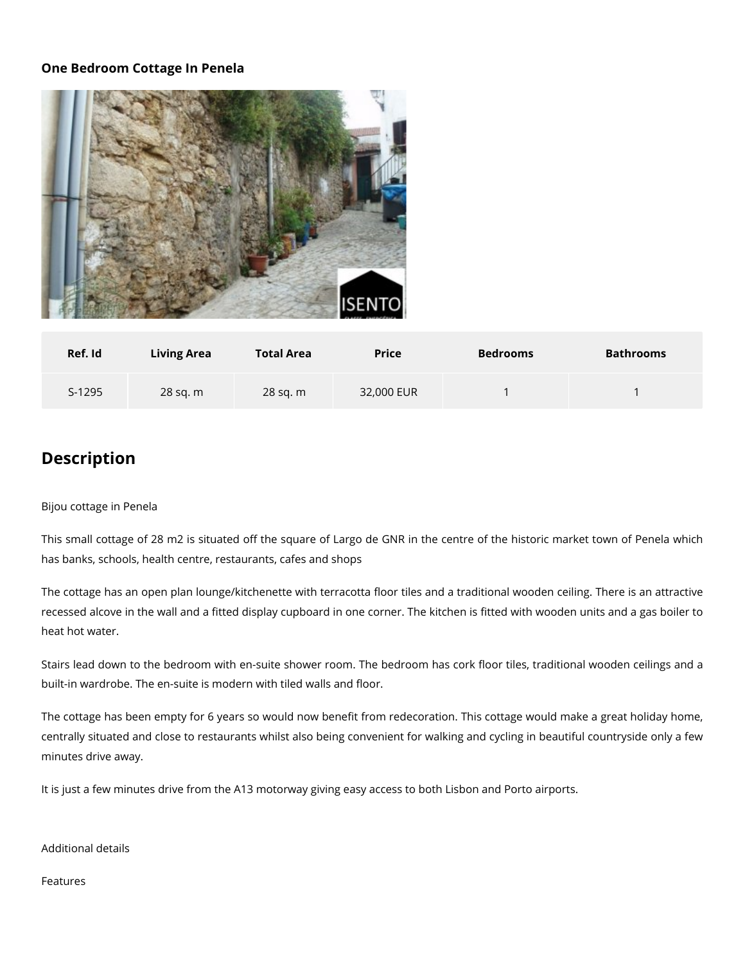## **One Bedroom Cottage In Penela**



| Ref. Id | <b>Living Area</b> | <b>Total Area</b> | <b>Price</b> | <b>Bedrooms</b> | <b>Bathrooms</b> |
|---------|--------------------|-------------------|--------------|-----------------|------------------|
| S-1295  | 28 sq. m           | 28 sq. m          | 32,000 EUR   |                 |                  |

## **Description**

## Bijou cottage in Penela

This small cottage of 28 m2 is situated off the square of Largo de GNR in the centre of the historic market town of Penela which has banks, schools, health centre, restaurants, cafes and shops

The cottage has an open plan lounge/kitchenette with terracotta floor tiles and a traditional wooden ceiling. There is an attractive recessed alcove in the wall and a fitted display cupboard in one corner. The kitchen is fitted with wooden units and a gas boiler to heat hot water.

Stairs lead down to the bedroom with en-suite shower room. The bedroom has cork floor tiles, traditional wooden ceilings and a built-in wardrobe. The en-suite is modern with tiled walls and floor.

The cottage has been empty for 6 years so would now benefit from redecoration. This cottage would make a great holiday home, centrally situated and close to restaurants whilst also being convenient for walking and cycling in beautiful countryside only a few minutes drive away.

It is just a few minutes drive from the A13 motorway giving easy access to both Lisbon and Porto airports.

## Additional details

Features